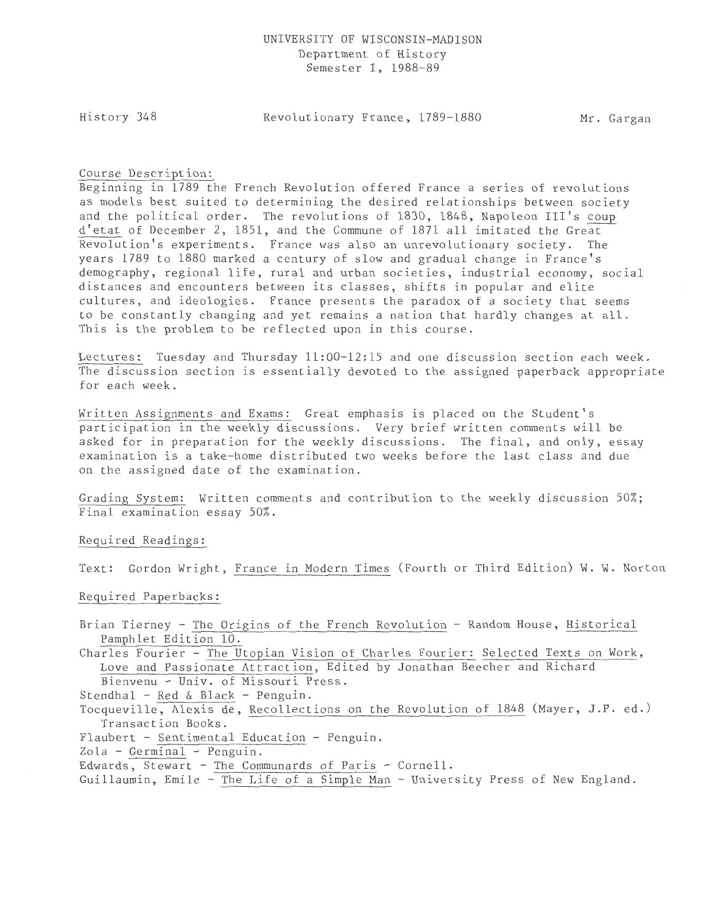History 348

Revolutionary France, 1789-1880 Mr. Gargan

### Course Description:

Beginning in 1789 the French Revolution offered France a series of revolutions as models best suited to determining the desired relationships between society and the political order. The revolutions of 1830, 1848, Napoleon III's coup d'etat of December 2, 1851, and the Commune of 1871 all imitated the Grear-- Revolution's experiments. France was also an unrevolutionary society. The years 1789 to 1880 marked a century of slow and gradual change in France's demography, regional life, rural and urban societies, industrial economy, social distances and encounters between its classes, shifts in popular and elite cultures, and ideologies. France presents the paradox of a society that seems to be constantly changing and yet remains a nation that hardly changes at all. This is the problem to be reflected upon in this course.

Lectures: Tuesday and Thursday 11:00-12:15 and one discussion section each week. The discussion section is essentially devoted to the assigned paperback appropriate for each week.

Written Assignments and Exams: Great emphasis is placed on the Student's participation in the weekly discussions. Very brief written comments will be asked for in preparation for the weekly discussions. The final, and only, essay examination is a take-home distributed two weeks before the last class and due on the assigned date of the examination.

Grading System: Written comments and contribution to the weekly discussion 50%; Final examination essay 50%.

#### Required Readings:

Text: Gordon Wright, France in Modern Times (Fourth or Third Edition) W. W. Norton

Required Paperbacks:

Brian Tierney - The Origins of the French Revolution - Random House, Historical Pamphlet Edition 10.

Charles Fourier - The Utopian Vision of Charles Fourier: Selected Texts on Work, Love and Passionate Attraction, Edited by Jonathan Beecher and Richard Bienvenu- Univ. of Missouri Press.

Stendhal - Red & Black - Penguin.

Tocqueville, Alexis de, Recollections on the Revolution of 1848 (Mayer, J.P. ed.) Transaction Books.

Flaubert - Sentimental Education - Penguin.

Zola - Germinal - Penguin.

Edwards, Stewart - The Communards of Paris - Cornell.

Guillaumin, Emile - The Life of a Simple Man - University Press of New England.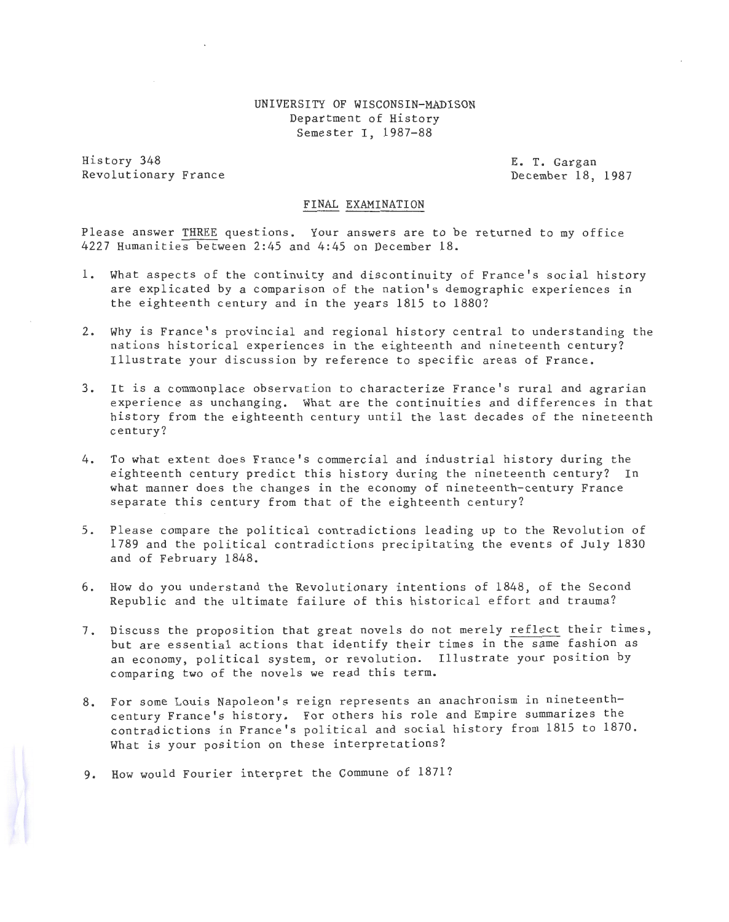### UNIVERSITY OF WISCONSIN-MADISON Department of History Semester I, 1987-88

History 348 Revolutionary France E. T. Gargan December 18, 1987

#### FINAL EXAMINATION

Please answer THREE questions. Your answers are to be returned to my office 4227 Humanities between 2:45 and 4:45 on December 18.

- 1. What aspects of the continuity and discontinuity of France's social history are explicated by a comparison of the nation's demographic experiences in the eighteenth century and in the years 1815 to 1880?
- 2. Why is France's provincial and regional history central to understanding the nations historical experiences in the eighteenth and nineteenth century? Illustrate your discussion by reference to specific areas of France.
- 3. It is a commonplace observation to characterize France's rural and agrarian experience as unchanging. What are the continuities and differences in that history from the eighteenth century until the last decades of the nineteenth century?
- 4. To what extent does France's commercial and industrial history during the eighteenth century predict this history during the nineteenth century? In what manner does the changes in the economy of nineteenth-century France separate this century from that of the eighteenth century?
- 5. Please compare the political contradictions leading up to the Revolution of 1789 and the political contradictions precipitating the events of July 1830 and of February 1848.
- 6. How do you understand the Revolutionary intentions of 1848, of the Second Republic and the ultimate failure of this historical effort and trauma?
- 7. Discuss the proposition that great novels do not merely reflect their times, but are essential actions that identify their times in the same fashion as an economy, political system, or revolution. Illustrate your position by comparing two of the novels we read this term.
- 8. For some Louis Napoleon's reign represents an anachronism in nineteenthcentury France's history. For others his role and Empire summarizes the contradictions in France's political and social history from 1815 to 1870. What is your position on these interpretations?
- 9. How would Fourier interpret the Commune of 1871?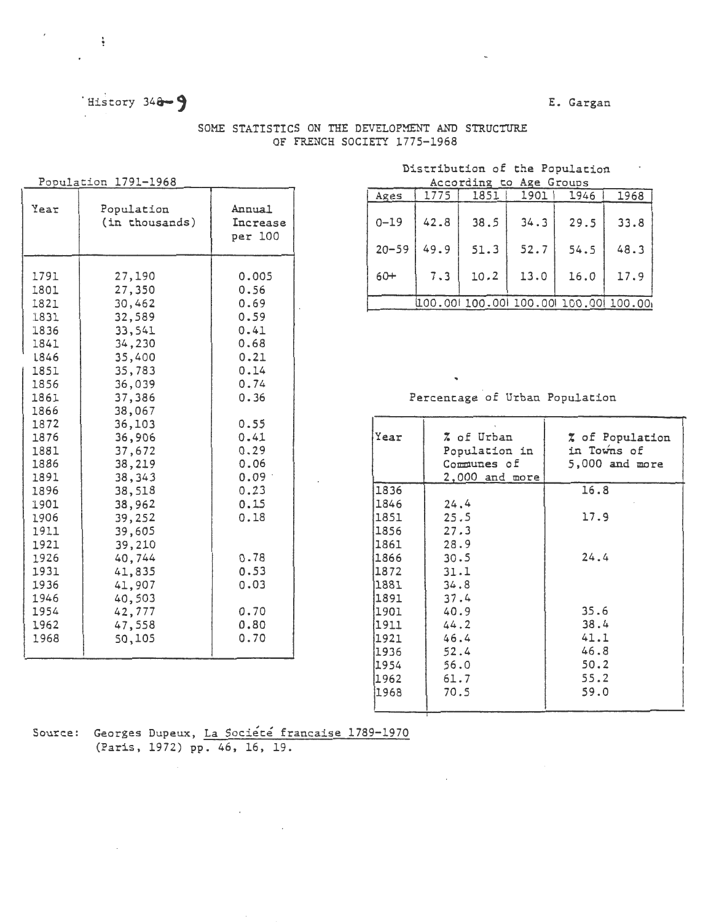# History 348-9

### E. Gargan

| SOME STATISTICS ON THE DEVELOPMENT AND STRUCTURE |  |                             |  |
|--------------------------------------------------|--|-----------------------------|--|
|                                                  |  | OF FRENCH SOCIETY 1775-1968 |  |

 $\overline{\phantom{a}}$ 

## Population 1791-1968

 $\sim$   $\frac{1}{2}$  .

 $\ddot{\phantom{a}}$ 

| Year                                                                                                                                                                                                                         | Population<br>(in thousands)                                                                                                                                                                                                                                                         | Annual<br>Increase<br>per 100                                                                                                                                                                 |
|------------------------------------------------------------------------------------------------------------------------------------------------------------------------------------------------------------------------------|--------------------------------------------------------------------------------------------------------------------------------------------------------------------------------------------------------------------------------------------------------------------------------------|-----------------------------------------------------------------------------------------------------------------------------------------------------------------------------------------------|
| 1791<br>1801<br>1821<br>1831<br>1836<br>1841<br>1846<br>1851<br>1856<br>1861<br>1866<br>1872<br>1876<br>1881<br>1886<br>1891<br>1896<br>1901<br>1906<br>1911<br>1921<br>1926<br>1931<br>1936<br>1946<br>1954<br>1962<br>1968 | 27,190<br>27,350<br>30,462<br>32,589<br>33,541<br>34,230<br>35,400<br>35,783<br>36,039<br>37,386<br>38,067<br>36,103<br>36,906<br>37,672<br>38,219<br>38,343<br>38,518<br>38,962<br>39,252<br>39,605<br>39,210<br>40,744<br>41,835<br>41,907<br>40,503<br>42,777<br>47,558<br>50,105 | 0.005<br>0.56<br>0.69<br>0.59<br>0.41<br>0.68<br>0.21<br>0.14<br>0.74<br>0.36<br>0.55<br>0.41<br>0.29<br>0.06<br>0.09<br>0.23<br>0.15<br>0.18<br>0.78<br>0.53<br>0.03<br>0.70<br>0.80<br>0.70 |
|                                                                                                                                                                                                                              |                                                                                                                                                                                                                                                                                      |                                                                                                                                                                                               |

#### Distribution of the Population According to Age Groups

|            |      | ACCULULIUS LU AXE ULUUDS |      |                                    |      |
|------------|------|--------------------------|------|------------------------------------|------|
| Ages       | 1775 | 1851                     | 1901 | 1946                               | 1968 |
| $0 - 19$   | 42.8 | 38.5                     | 34.3 | 29.5                               | 33.8 |
| $ 20 - 59$ | 49.9 | 51.3                     | 52.7 | 54.5                               | 48.3 |
| 60+        | 7.3  | 10.2                     | 13.0 | 16.0                               | 17.9 |
|            |      |                          |      | 100.00 100.00 100.00 100.00 100.00 |      |

# Percentage of Urban Population

 $\mathbf{v}$ 

| Year | % of Urban<br>Population in<br>Communes of<br>$2,000$ and more | % of Population<br>in Towns of<br>$5,000$ and more |
|------|----------------------------------------------------------------|----------------------------------------------------|
| 1836 |                                                                | 16.8                                               |
| 1846 | 24.4                                                           |                                                    |
| 1851 | 25.5                                                           | 17.9                                               |
| 1856 | 27.3                                                           |                                                    |
| 1861 | 28.9                                                           |                                                    |
| 1866 | 30.5                                                           | 24.4                                               |
| 1872 | 31.1                                                           |                                                    |
| 1881 | 34.8                                                           |                                                    |
| 1891 | 37.4                                                           |                                                    |
| 1901 | 40.9                                                           | 35.6                                               |
| 1911 | 44.2                                                           | 38.4                                               |
| 1921 | 46.4                                                           | 41.1                                               |
| 1936 | 52.4                                                           | 46.8                                               |
| 1954 | 56.0                                                           | 50.2                                               |
| 1962 | 61.7                                                           | 55.2                                               |
| 1968 | 70.5                                                           | 59.0                                               |

Source: Georges Dupeux, La Société francaise 1789-1970<br>(Paris, 1972) pp. 46, 16, 19.

 $\sim$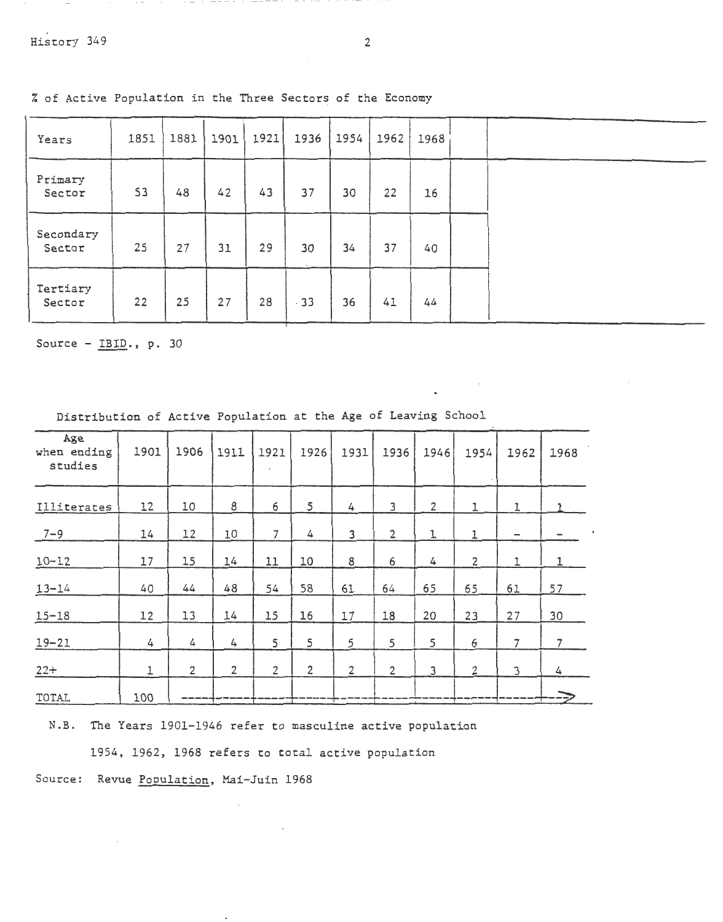| Years               | 1851 | 1881 | 1901 | 1921 | 1936  | 1954 | 1962 | 1968 |  |
|---------------------|------|------|------|------|-------|------|------|------|--|
| Primary<br>Sector   | 53   | 48   | 42   | 43   | 37    | 30   | 22   | 16   |  |
| Secondary<br>Sector | 25   | 27   | 31   | 29   | 30    | 34   | 37   | 40   |  |
| Tertiary<br>Sector  | 22   | 25   | 27   | 28   | $-33$ | 36   | 41   | 44   |  |

i. of Active Population in the Three Sectors of the Economy

 $\overline{\phantom{a}}$ 

Source - IBID., p. 30

| Age<br>when ending<br>studies | 1901 | 1906           | 1911           | 1921           | 1926           | 1931           | 1936           | 1946           | 1954           | 1962         | 1968           |
|-------------------------------|------|----------------|----------------|----------------|----------------|----------------|----------------|----------------|----------------|--------------|----------------|
| Illiterates                   | 12   | 10             | 8              | 6              | 5              | 4              | 3              | $\overline{2}$ | 1              | 1            |                |
| $7 - 9$                       | 14   | 12             | 10             | $\overline{7}$ | 4              | 3              | $\overline{2}$ | 1              |                |              |                |
| $10 - 12$                     | 17   | 15             | 14             | 11             | 10             | 8              | 6              | 4              | $\overline{2}$ | $\mathbf{I}$ | 1              |
| $13 - 14$                     | 40   | 44             | 48             | 54             | 58             | 61             | 64             | 65             | 65             | 61           | 57             |
| $15 - 18$                     | 12   | 13             | 14             | 15             | 16             | 17             | 18             | 20             | 23             | 27           | 30             |
| $19 - 21$                     | 4    | 4              | 4              | 5              | 5              | 5              | 5              | 5              | 6              | 7            | $\overline{7}$ |
| $22+$                         | 1    | $\overline{2}$ | $\overline{2}$ | $\overline{2}$ | $\overline{2}$ | $\overline{2}$ | $\overline{2}$ | 3              | $\overline{2}$ | 3            | 4              |
| TOTAL                         | 100  |                |                |                |                |                |                |                |                |              |                |

Distribution of Active Population at the Age of Leaving School

N.B. The Years 1901-1946 refer to masculine active population

1954, 1962, 1968 refers to total active population

Source: Revue Population, Mai-Juin 1968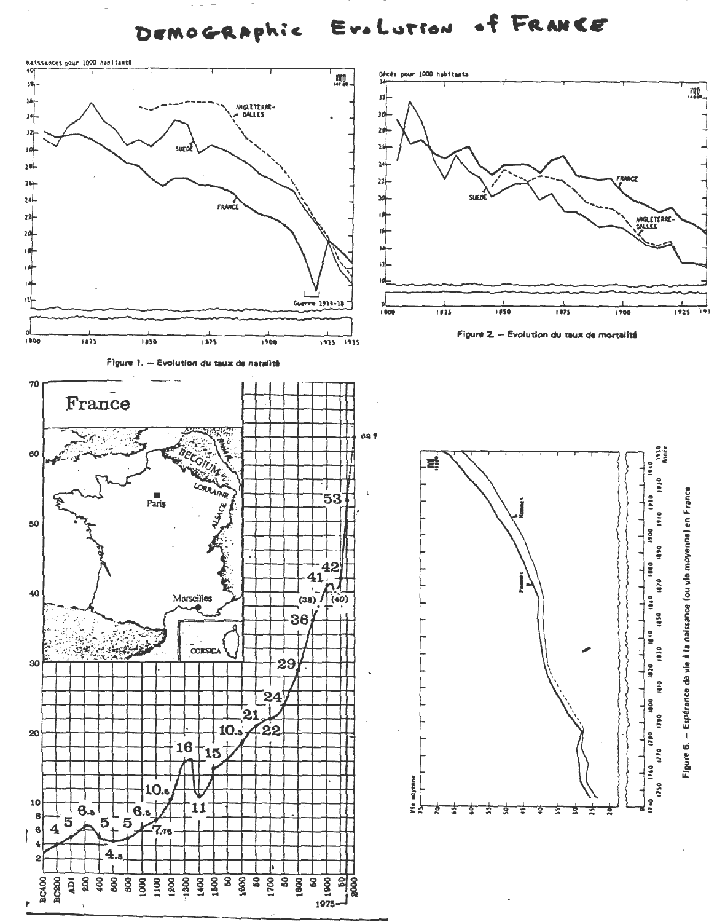of FRANCE Era Lution DEMOGRAPhic

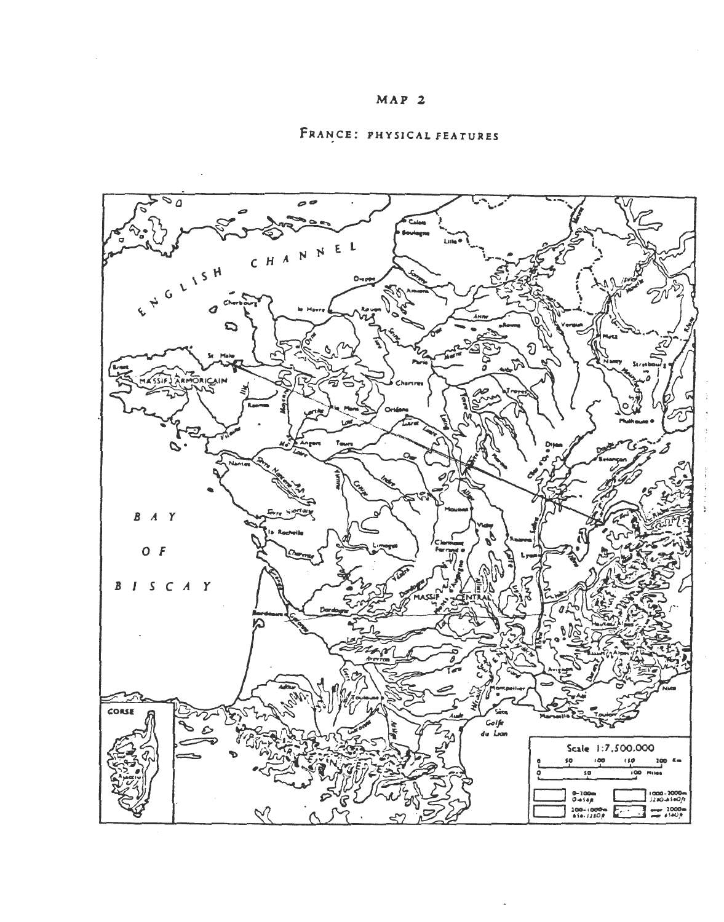

# FRANCE: PHYSICAL FEATURES

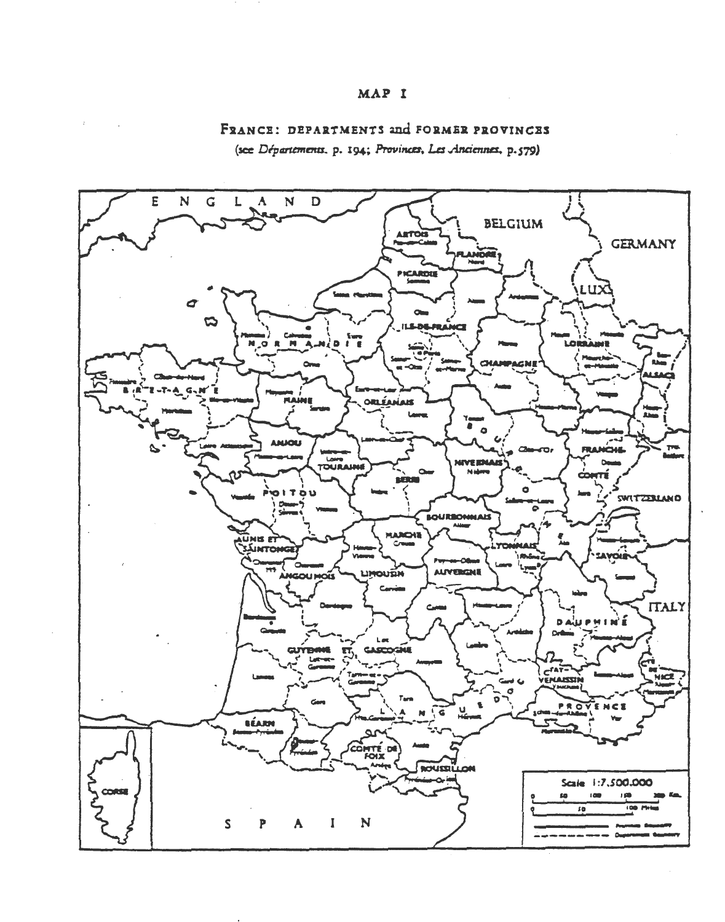## MAP I

## FRANCE: DEPARTMENTS and FORMER PROVINCES

(see Départements. p. 194; Provinces, Les Anciennes, p.579)

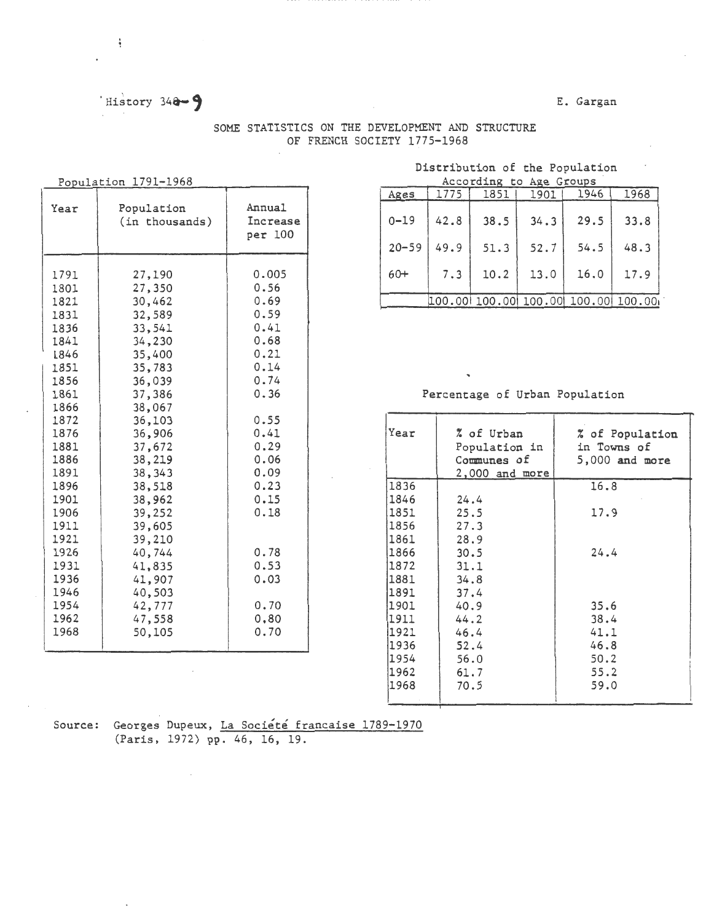# $History 34a-9$

ŧ

### E. Gargan

|                                                                                                                                                                                                                              | Population 1791-1968                                                                                                                                                                                                                                                                 |                                                                                                                                                                                               |
|------------------------------------------------------------------------------------------------------------------------------------------------------------------------------------------------------------------------------|--------------------------------------------------------------------------------------------------------------------------------------------------------------------------------------------------------------------------------------------------------------------------------------|-----------------------------------------------------------------------------------------------------------------------------------------------------------------------------------------------|
| Year                                                                                                                                                                                                                         | Population<br>(in thousands)                                                                                                                                                                                                                                                         | Annual<br>Increase<br>per 100                                                                                                                                                                 |
| 1791<br>1801<br>1821<br>1831<br>1836<br>1841<br>L846<br>1851<br>1856<br>1861<br>1866<br>1872<br>1876<br>1881<br>1886<br>1891<br>1896<br>1901<br>1906<br>1911<br>1921<br>1926<br>1931<br>1936<br>1946<br>1954<br>1962<br>1968 | 27,190<br>27,350<br>30,462<br>32,589<br>33,541<br>34,230<br>35,400<br>35,783<br>36,039<br>37,386<br>38,067<br>36,103<br>36,906<br>37,672<br>38,219<br>38,343<br>38,518<br>38,962<br>39,252<br>39,605<br>39,210<br>40,744<br>41,835<br>41,907<br>40,503<br>42,777<br>47,558<br>50,105 | 0.005<br>0.56<br>0.69<br>0.59<br>0.41<br>0.68<br>0.21<br>0.14<br>0.74<br>0.36<br>0.55<br>0.41<br>0.29<br>0.06<br>0.09<br>0.23<br>0.15<br>0.18<br>0.78<br>0.53<br>0.03<br>0.70<br>0,80<br>0.70 |

### SOME STATISTICS ON THE DEVELOPMENT AND STRUCTURE OF FRENCH SOCIETY 1775-1968

#### Distribution of the Population  $A$ ccording to  $A$ ge Groups

|                               |           |      | ACCOTOING TO Age Groups |      |                                    |      |
|-------------------------------|-----------|------|-------------------------|------|------------------------------------|------|
|                               | Ages      | 1775 | 1851                    | 1901 | 1946                               | 1968 |
| Annual<br>Increase<br>per 100 | $0 - 19$  | 42.8 | 38.5                    | 34.3 | 29.5                               | 33.8 |
|                               | $20 - 59$ | 49.9 | 51.3                    | 52.7 | 54.5                               | 48.3 |
| 0.005<br>0.56                 | $60+$     | 7.3  | 10.2                    | 13.0 | 16.0                               | 17.9 |
| 0.69                          |           |      |                         |      | 100.00 100.00 100.00 100.00 100.00 |      |
|                               |           |      |                         |      |                                    |      |

### Percentage of Urban Population

| 0.55 |      |                  |                  |
|------|------|------------------|------------------|
| 0.41 | Year | % of Urban       | % of Population  |
| 0.29 |      | Population in    | in Towns of      |
| 0.06 |      | Communes of      | $5,000$ and more |
| 0.09 |      | $2,000$ and more |                  |
| 0.23 | 1836 |                  | 16.8             |
| 0.15 | 1846 | 24.4             |                  |
| 0.18 | 1851 | 25.5             | 17.9             |
|      | 1856 | 27.3             |                  |
|      | 1861 | 28.9             |                  |
| 0.78 | 1866 | 30.5             | 24.4             |
| 0.53 | 1872 | 31.1             |                  |
| 0.03 | 1881 | 34.8             |                  |
|      | 1891 | 37.4             |                  |
| 0.70 | 1901 | 40.9             | 35.6             |
| 0,80 | 1911 | 44.2             | 38.4             |
| 0.70 | 1921 | 46.4             | 41.1             |
|      | 1936 | 52.4             | 46.8             |
|      | 1954 | 56.0             | 50.2             |
|      | 1962 | 61.7             | 55.2             |
|      | 1968 | 70.5             | 59.0             |
|      |      |                  |                  |

Source: Georges Dupeux, La Société francaise 1789-1970 (Paris, 1972) pp. 46, 16, 19.

÷.